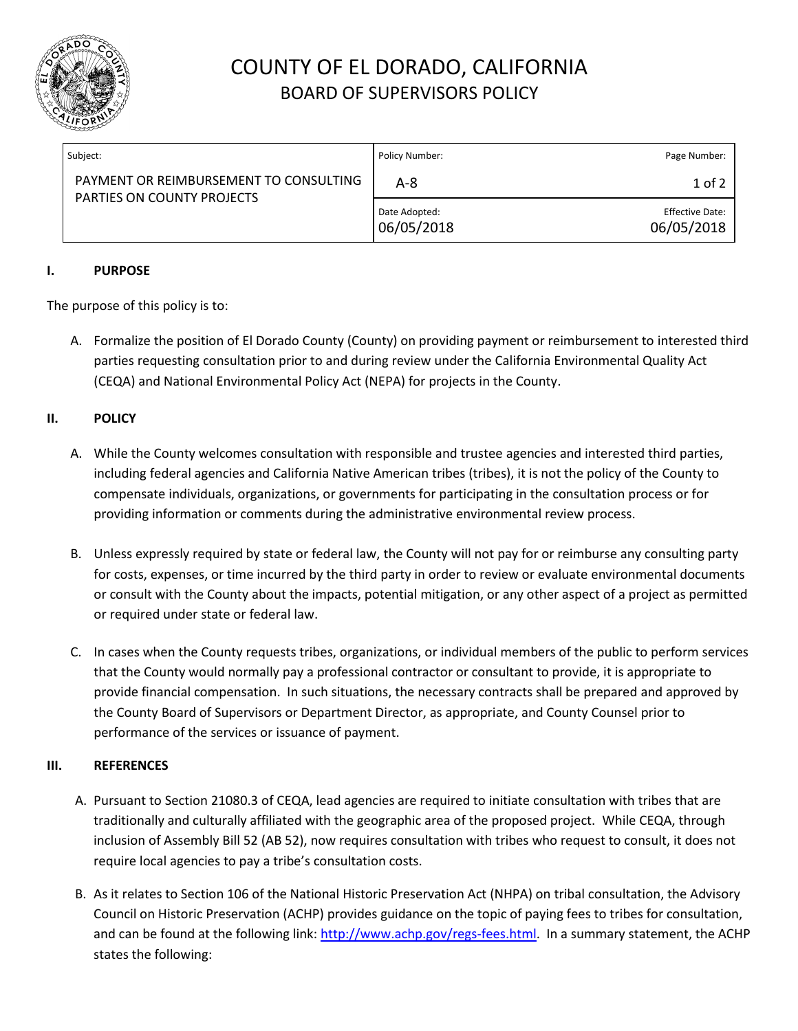

# COUNTY OF EL DORADO, CALIFORNIA BOARD OF SUPERVISORS POLICY

| Subject:                                                             | Policy Number:              | Page Number:                         |
|----------------------------------------------------------------------|-----------------------------|--------------------------------------|
| PAYMENT OR REIMBURSEMENT TO CONSULTING<br>PARTIES ON COUNTY PROJECTS | $A - 8$                     | $1$ of $2$                           |
|                                                                      | Date Adopted:<br>06/05/2018 | <b>Effective Date:</b><br>06/05/2018 |

## **I. PURPOSE**

The purpose of this policy is to:

A. Formalize the position of El Dorado County (County) on providing payment or reimbursement to interested third parties requesting consultation prior to and during review under the California Environmental Quality Act (CEQA) and National Environmental Policy Act (NEPA) for projects in the County.

## **II. POLICY**

- A. While the County welcomes consultation with responsible and trustee agencies and interested third parties, including federal agencies and California Native American tribes (tribes), it is not the policy of the County to compensate individuals, organizations, or governments for participating in the consultation process or for providing information or comments during the administrative environmental review process.
- B. Unless expressly required by state or federal law, the County will not pay for or reimburse any consulting party for costs, expenses, or time incurred by the third party in order to review or evaluate environmental documents or consult with the County about the impacts, potential mitigation, or any other aspect of a project as permitted or required under state or federal law.
- C. In cases when the County requests tribes, organizations, or individual members of the public to perform services that the County would normally pay a professional contractor or consultant to provide, it is appropriate to provide financial compensation. In such situations, the necessary contracts shall be prepared and approved by the County Board of Supervisors or Department Director, as appropriate, and County Counsel prior to performance of the services or issuance of payment.

## **III. REFERENCES**

- A. Pursuant to Section 21080.3 of CEQA, lead agencies are required to initiate consultation with tribes that are traditionally and culturally affiliated with the geographic area of the proposed project. While CEQA, through inclusion of Assembly Bill 52 (AB 52), now requires consultation with tribes who request to consult, it does not require local agencies to pay a tribe's consultation costs.
- B. As it relates to Section 106 of the National Historic Preservation Act (NHPA) on tribal consultation, the Advisory Council on Historic Preservation (ACHP) provides guidance on the topic of paying fees to tribes for consultation, and can be found at the following link: [http://www.achp.gov/regs-fees.html.](http://www.achp.gov/regs-fees.html) In a summary statement, the ACHP states the following: